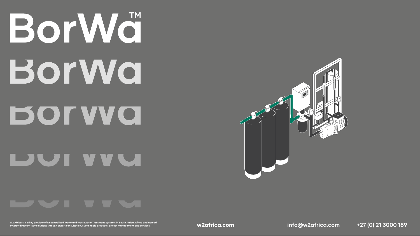# BorWo Borwa BOTVVCI DUIVVU

W2 Africa © is a key provider of Decentralised Water and Wastewater Treatment Systems in South Africa, Africa and abroad<br>by providing turn-key solutions through expert consultation, sustainable products, project management

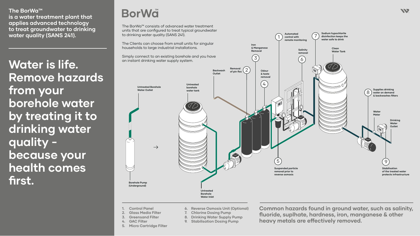**The BorWa™**

**is a water treatment plant that applies advanced technology to treat groundwater to drinking water quality (SANS 241).** 

**Water is life. Remove hazards from your borehole water by treating it to drinking water quality because your health comes first.**

## **BorWa**

The BorWa™ consists of advanced water treatment units that are configured to treat typical groundwater

an instant drinking water supply system.